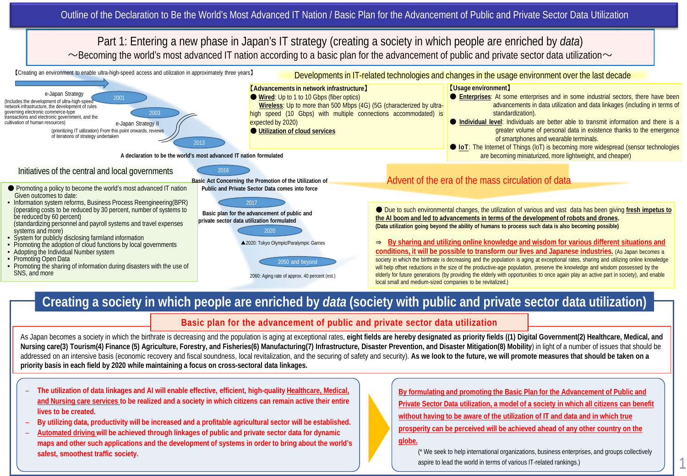

## **Creating a society in which people are enriched by** *data* **(society with public and private sector data utilization)**

## **Basic plan for the advancement of public and private sector data utilization**

As Japan becomes a society in which the birthrate is decreasing and the population is aging at exceptional rates, eight fields are hereby designated as priority fields ((1) Digital Government(2) Healthcare, Medical, and **Nursing care(3) Tourism(4) Finance (5) Agriculture, Forestry, and Fisheries(6) Manufacturing(7) Infrastructure, Disaster Prevention, and Disaster Mitigation(8) Mobility**) in light of a number of issues that should be addressed on an intensive basis (economic recovery and fiscal soundness, local revitalization, and the securing of safety and security). **As we look to the future, we will promote measures that should be taken on a priority basis in each field by 2020 while maintaining a focus on cross-sectoral data linkages.**

- **The utilization of data linkages and AI will enable effective, efficient, high-quality Healthcare, Medical, and Nursing care services to be realized and a society in which citizens can remain active their entire lives to be created.**
- **By utilizing data, productivity will be increased and a profitable agricultural sector will be established.**
- **Automated driving will be achieved through linkages of public and private sector data for dynamic maps and other such applications and the development of systems in order to bring about the world's safest, smoothest traffic society.**

**By formulating and promoting the Basic Plan for the Advancement of Public and Private Sector Data utilization, a model of a society in which all citizens can benefit without having to be aware of the utilization of IT and data and in which true prosperity can be perceived will be achieved ahead of any other country on the** 

## **globe.**

(\* We seek to help international organizations, business enterprises, and groups collectively aspire to lead the world in terms of various IT-related rankings.)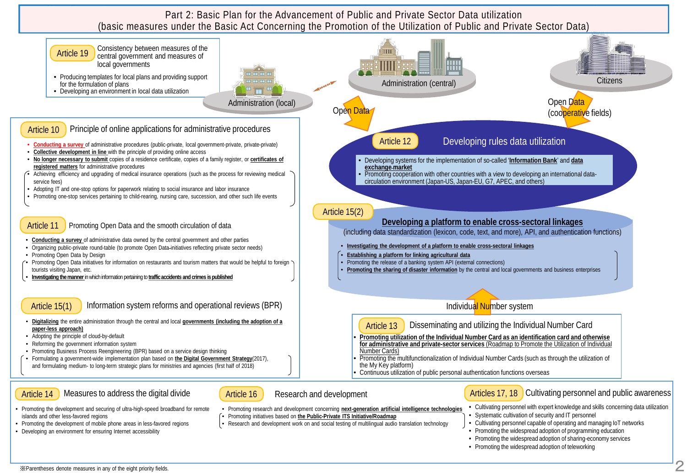Part 2: Basic Plan for the Advancement of Public and Private Sector Data utilization (basic measures under the Basic Act Concerning the Promotion of the Utilization of Public and Private Sector Data)



- Promoting the development and securing of ultra-high-speed broadband for remote islands and other less-favored regions
- Promoting the development of mobile phone areas in less-favored regions
- Developing an environment for ensuring Internet accessibility
- Promoting initiatives based on **the Public-Private ITS Initiative/Roadmap**
- Research and development work on and social testing of multilingual audio translation technology
- Promoting research and development concerning **next-generation artificial intelligence technologies** • Cultivating personnel with expert knowledge and skills concerning data utilization • Systematic cultivation of security and IT personnel
	- Cultivating personnel capable of operating and managing IoT networks
	- Promoting the widespread adoption of programming education
	- Promoting the widespread adoption of sharing-economy services
	- Promoting the widespread adoption of teleworking